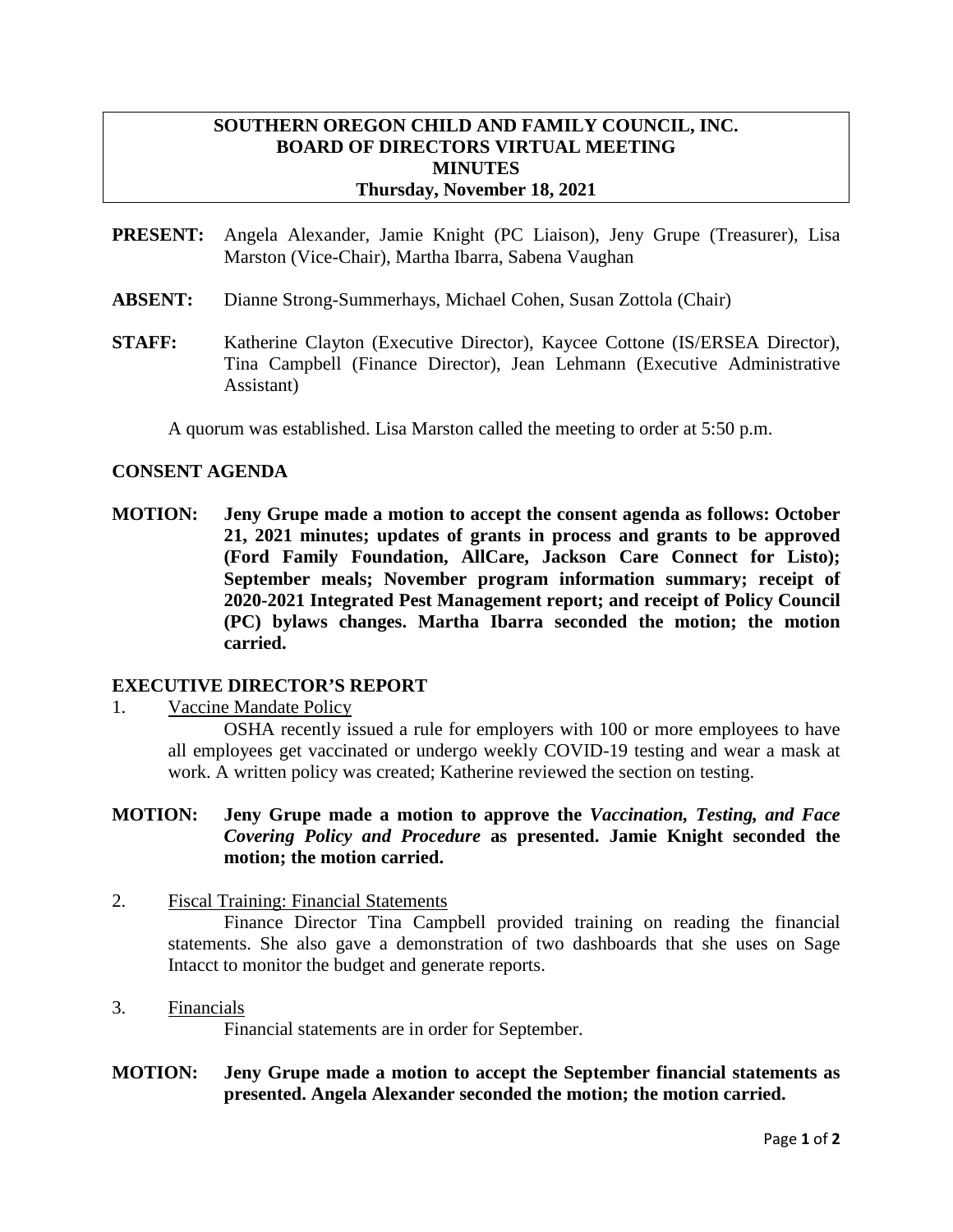# **SOUTHERN OREGON CHILD AND FAMILY COUNCIL, INC. BOARD OF DIRECTORS VIRTUAL MEETING MINUTES Thursday, November 18, 2021**

- **PRESENT:** Angela Alexander, Jamie Knight (PC Liaison), Jeny Grupe (Treasurer), Lisa Marston (Vice-Chair), Martha Ibarra, Sabena Vaughan
- **ABSENT:** Dianne Strong-Summerhays, Michael Cohen, Susan Zottola (Chair)
- **STAFF:** Katherine Clayton (Executive Director), Kaycee Cottone (IS/ERSEA Director), Tina Campbell (Finance Director), Jean Lehmann (Executive Administrative Assistant)

A quorum was established. Lisa Marston called the meeting to order at 5:50 p.m.

## **CONSENT AGENDA**

**MOTION: Jeny Grupe made a motion to accept the consent agenda as follows: October 21, 2021 minutes; updates of grants in process and grants to be approved (Ford Family Foundation, AllCare, Jackson Care Connect for Listo); September meals; November program information summary; receipt of 2020-2021 Integrated Pest Management report; and receipt of Policy Council (PC) bylaws changes. Martha Ibarra seconded the motion; the motion carried.**

# **EXECUTIVE DIRECTOR'S REPORT**

1. Vaccine Mandate Policy

OSHA recently issued a rule for employers with 100 or more employees to have all employees get vaccinated or undergo weekly COVID-19 testing and wear a mask at work. A written policy was created; Katherine reviewed the section on testing.

# **MOTION: Jeny Grupe made a motion to approve the** *Vaccination, Testing, and Face Covering Policy and Procedure* **as presented. Jamie Knight seconded the motion; the motion carried.**

2. Fiscal Training: Financial Statements

Finance Director Tina Campbell provided training on reading the financial statements. She also gave a demonstration of two dashboards that she uses on Sage Intacct to monitor the budget and generate reports.

3. Financials

Financial statements are in order for September.

**MOTION: Jeny Grupe made a motion to accept the September financial statements as presented. Angela Alexander seconded the motion; the motion carried.**